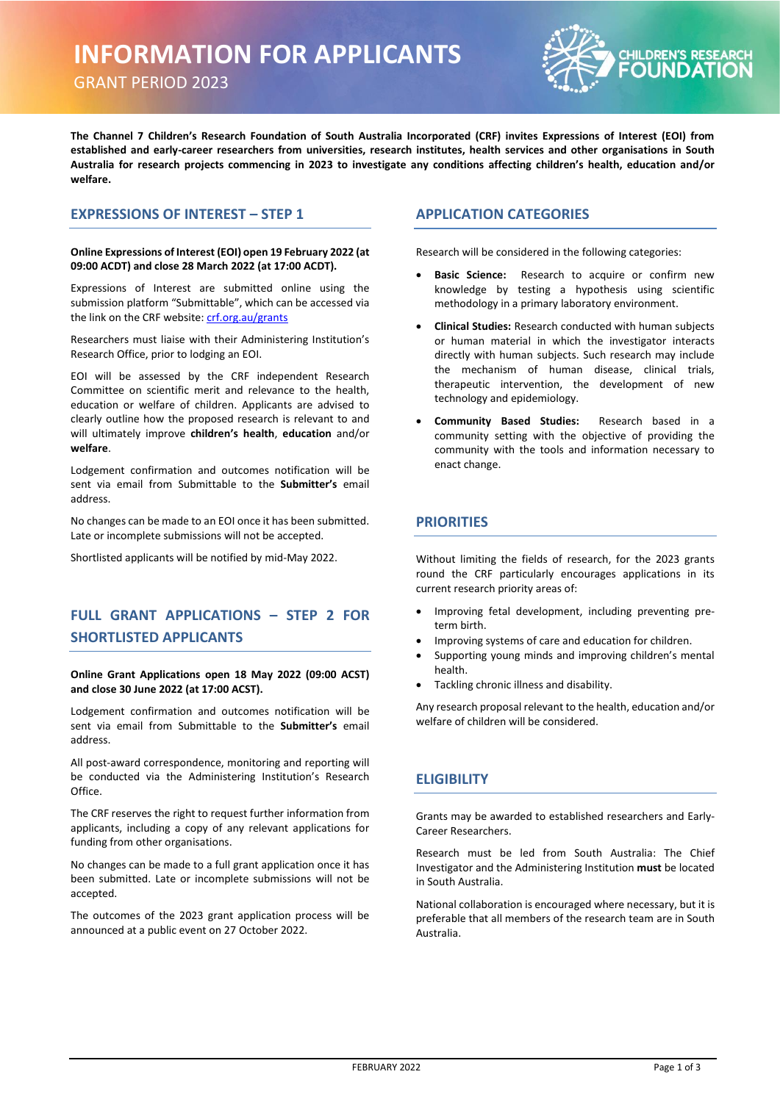# **INFORMATION FOR APPLICANTS**

GRANT PERIOD 2023



**The Channel 7 Children's Research Foundation of South Australia Incorporated (CRF) invites Expressions of Interest (EOI) from established and early-career researchers from universities, research institutes, health services and other organisations in South Australia for research projects commencing in 2023 to investigate any conditions affecting children's health, education and/or welfare.**

#### **EXPRESSIONS OF INTEREST – STEP 1**

#### **Online Expressions of Interest (EOI) open 19 February 2022 (at 09:00 ACDT) and close 28 March 2022 (at 17:00 ACDT).**

Expressions of Interest are submitted online using the submission platform "Submittable", which can be accessed via the link on the CRF website: [crf.org.au/grants](https://crf.org.au/grants) 

Researchers must liaise with their Administering Institution's Research Office, prior to lodging an EOI.

EOI will be assessed by the CRF independent Research Committee on scientific merit and relevance to the health, education or welfare of children. Applicants are advised to clearly outline how the proposed research is relevant to and will ultimately improve **children's health**, **education** and/or **welfare**.

Lodgement confirmation and outcomes notification will be sent via email from Submittable to the **Submitter's** email address.

No changes can be made to an EOI once it has been submitted. Late or incomplete submissions will not be accepted.

Shortlisted applicants will be notified by mid-May 2022.

### **FULL GRANT APPLICATIONS – STEP 2 FOR SHORTLISTED APPLICANTS**

#### **Online Grant Applications open 18 May 2022 (09:00 ACST) and close 30 June 2022 (at 17:00 ACST).**

Lodgement confirmation and outcomes notification will be sent via email from Submittable to the **Submitter's** email address.

All post-award correspondence, monitoring and reporting will be conducted via the Administering Institution's Research Office.

The CRF reserves the right to request further information from applicants, including a copy of any relevant applications for funding from other organisations.

No changes can be made to a full grant application once it has been submitted. Late or incomplete submissions will not be accepted.

The outcomes of the 2023 grant application process will be announced at a public event on 27 October 2022.

#### **APPLICATION CATEGORIES**

Research will be considered in the following categories:

- Basic Science: Research to acquire or confirm new knowledge by testing a hypothesis using scientific methodology in a primary laboratory environment.
- **Clinical Studies:** Research conducted with human subjects or human material in which the investigator interacts directly with human subjects. Such research may include the mechanism of human disease, clinical trials, therapeutic intervention, the development of new technology and epidemiology.
- **Community Based Studies:** Research based in a community setting with the objective of providing the community with the tools and information necessary to enact change.

#### **PRIORITIES**

Without limiting the fields of research, for the 2023 grants round the CRF particularly encourages applications in its current research priority areas of:

- Improving fetal development, including preventing preterm birth.
- Improving systems of care and education for children.
- Supporting young minds and improving children's mental health.
- Tackling chronic illness and disability.

Any research proposal relevant to the health, education and/or welfare of children will be considered.

### **ELIGIBILITY**

Grants may be awarded to established researchers and Early-Career Researchers.

Research must be led from South Australia: The Chief Investigator and the Administering Institution **must** be located in South Australia.

National collaboration is encouraged where necessary, but it is preferable that all members of the research team are in South Australia.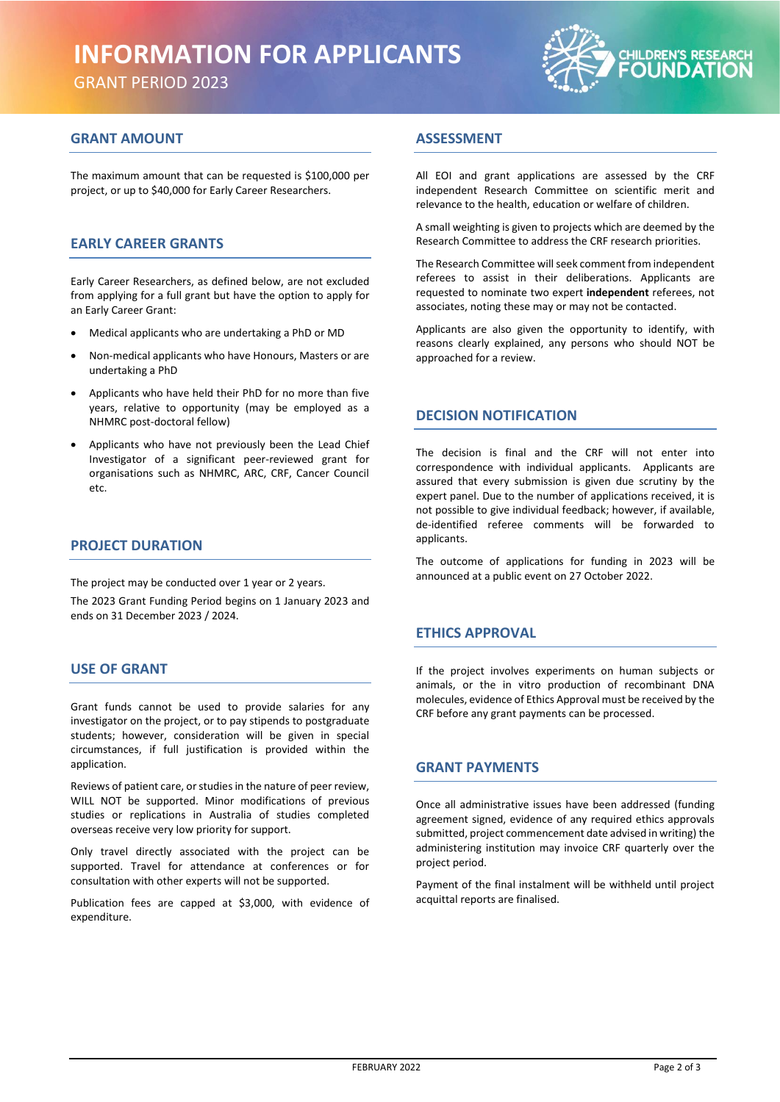# **INFORMATION FOR APPLICANTS**

GRANT PERIOD 2023



### **GRANT AMOUNT**

The maximum amount that can be requested is \$100,000 per project, or up to \$40,000 for Early Career Researchers.

### **EARLY CAREER GRANTS**

Early Career Researchers, as defined below, are not excluded from applying for a full grant but have the option to apply for an Early Career Grant:

- Medical applicants who are undertaking a PhD or MD
- Non-medical applicants who have Honours, Masters or are undertaking a PhD
- Applicants who have held their PhD for no more than five years, relative to opportunity (may be employed as a NHMRC post-doctoral fellow)
- Applicants who have not previously been the Lead Chief Investigator of a significant peer-reviewed grant for organisations such as NHMRC, ARC, CRF, Cancer Council etc.

#### **PROJECT DURATION**

The project may be conducted over 1 year or 2 years.

The 2023 Grant Funding Period begins on 1 January 2023 and ends on 31 December 2023 / 2024.

#### **USE OF GRANT**

Grant funds cannot be used to provide salaries for any investigator on the project, or to pay stipends to postgraduate students; however, consideration will be given in special circumstances, if full justification is provided within the application.

Reviews of patient care, or studies in the nature of peer review, WILL NOT be supported. Minor modifications of previous studies or replications in Australia of studies completed overseas receive very low priority for support.

Only travel directly associated with the project can be supported. Travel for attendance at conferences or for consultation with other experts will not be supported.

Publication fees are capped at \$3,000, with evidence of expenditure.

### **ASSESSMENT**

All EOI and grant applications are assessed by the CRF independent Research Committee on scientific merit and relevance to the health, education or welfare of children.

A small weighting is given to projects which are deemed by the Research Committee to address the CRF research priorities.

The Research Committee will seek comment from independent referees to assist in their deliberations. Applicants are requested to nominate two expert **independent** referees, not associates, noting these may or may not be contacted.

Applicants are also given the opportunity to identify, with reasons clearly explained, any persons who should NOT be approached for a review.

#### **DECISION NOTIFICATION**

The decision is final and the CRF will not enter into correspondence with individual applicants. Applicants are assured that every submission is given due scrutiny by the expert panel. Due to the number of applications received, it is not possible to give individual feedback; however, if available, de-identified referee comments will be forwarded to applicants.

The outcome of applications for funding in 2023 will be announced at a public event on 27 October 2022.

#### **ETHICS APPROVAL**

If the project involves experiments on human subjects or animals, or the in vitro production of recombinant DNA molecules, evidence of Ethics Approval must be received by the CRF before any grant payments can be processed.

#### **GRANT PAYMENTS**

Once all administrative issues have been addressed (funding agreement signed, evidence of any required ethics approvals submitted, project commencement date advised in writing) the administering institution may invoice CRF quarterly over the project period.

Payment of the final instalment will be withheld until project acquittal reports are finalised.